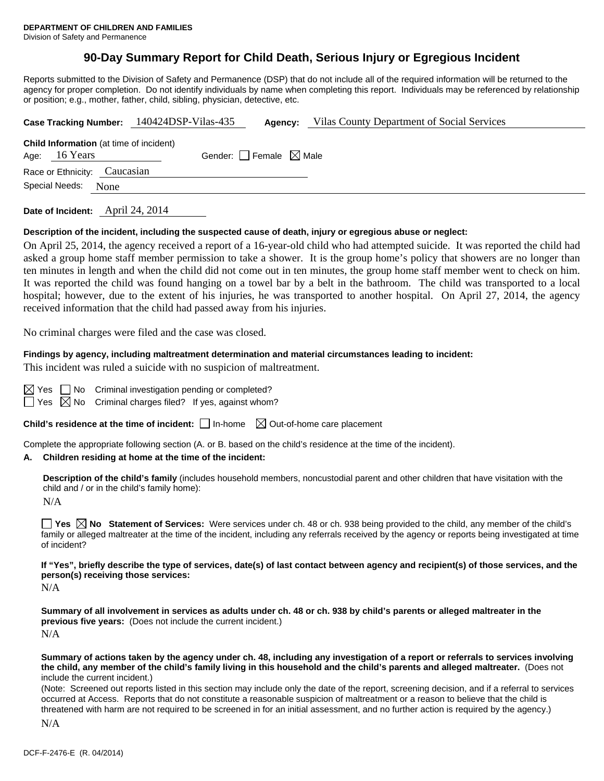# **90-Day Summary Report for Child Death, Serious Injury or Egregious Incident**

Reports submitted to the Division of Safety and Permanence (DSP) that do not include all of the required information will be returned to the agency for proper completion. Do not identify individuals by name when completing this report. Individuals may be referenced by relationship or position; e.g., mother, father, child, sibling, physician, detective, etc.

| Case Tracking Number: 140424DSP-Vilas-435 |                              |      | Agency:                                        | Vilas County Department of Social Services |  |  |  |
|-------------------------------------------|------------------------------|------|------------------------------------------------|--------------------------------------------|--|--|--|
|                                           |                              |      | <b>Child Information</b> (at time of incident) |                                            |  |  |  |
|                                           | Age: 16 Years                |      |                                                | Gender: Female $\boxtimes$ Male            |  |  |  |
|                                           | Race or Ethnicity: Caucasian |      |                                                |                                            |  |  |  |
|                                           | Special Needs:               | None |                                                |                                            |  |  |  |
|                                           |                              |      | $\cdots$ $\cdots$ $\cdots$                     |                                            |  |  |  |

**Date of Incident:** April 24, 2014

#### **Description of the incident, including the suspected cause of death, injury or egregious abuse or neglect:**

On April 25, 2014, the agency received a report of a 16-year-old child who had attempted suicide. It was reported the child had asked a group home staff member permission to take a shower. It is the group home's policy that showers are no longer than ten minutes in length and when the child did not come out in ten minutes, the group home staff member went to check on him. It was reported the child was found hanging on a towel bar by a belt in the bathroom. The child was transported to a local hospital; however, due to the extent of his injuries, he was transported to another hospital. On April 27, 2014, the agency received information that the child had passed away from his injuries.

No criminal charges were filed and the case was closed.

#### **Findings by agency, including maltreatment determination and material circumstances leading to incident:**

This incident was ruled a suicide with no suspicion of maltreatment.

|  | $\boxtimes$ Yes $\Box$ No Criminal investigation pending or completed?  |  |
|--|-------------------------------------------------------------------------|--|
|  | $\Box$ Yes $\boxtimes$ No Criminal charges filed? If yes, against whom? |  |

**Child's residence at the time of incident:**  $\Box$  In-home  $\Box$  Out-of-home care placement

Complete the appropriate following section (A. or B. based on the child's residence at the time of the incident).

#### **A. Children residing at home at the time of the incident:**

**Description of the child's family** (includes household members, noncustodial parent and other children that have visitation with the child and / or in the child's family home):

N/A

■ Yes △ No Statement of Services: Were services under ch. 48 or ch. 938 being provided to the child, any member of the child's family or alleged maltreater at the time of the incident, including any referrals received by the agency or reports being investigated at time of incident?

**If "Yes", briefly describe the type of services, date(s) of last contact between agency and recipient(s) of those services, and the person(s) receiving those services:** 

N/A

**Summary of all involvement in services as adults under ch. 48 or ch. 938 by child's parents or alleged maltreater in the previous five years:** (Does not include the current incident.) N/A

**Summary of actions taken by the agency under ch. 48, including any investigation of a report or referrals to services involving the child, any member of the child's family living in this household and the child's parents and alleged maltreater.** (Does not include the current incident.)

(Note: Screened out reports listed in this section may include only the date of the report, screening decision, and if a referral to services occurred at Access. Reports that do not constitute a reasonable suspicion of maltreatment or a reason to believe that the child is threatened with harm are not required to be screened in for an initial assessment, and no further action is required by the agency.)

N/A